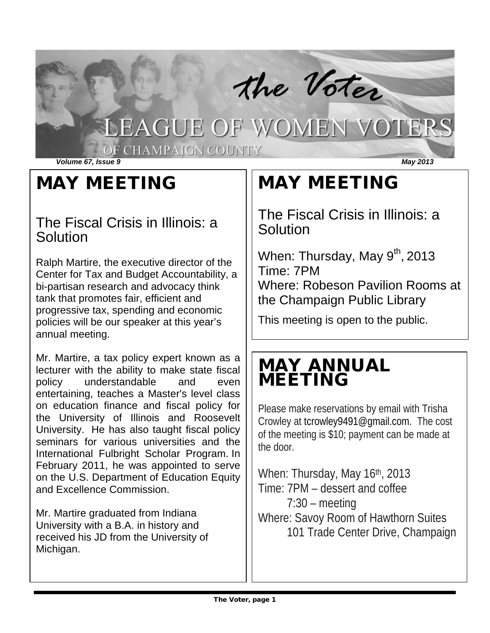

# MAY MEETING

### The Fiscal Crisis in Illinois: a **Solution**

Ralph Martire, the executive director of the Center for Tax and Budget Accountability, a bi-partisan research and advocacy think tank that promotes fair, efficient and progressive tax, spending and economic policies will be our speaker at this year's annual meeting.

Mr. Martire, a tax policy expert known as a lecturer with the ability to make state fiscal policy understandable and even entertaining, teaches a Master's level class on education finance and fiscal policy for the University of Illinois and Roosevelt University. He has also taught fiscal policy seminars for various universities and the International Fulbright Scholar Program. In February 2011, he was appointed to serve on the U.S. Department of Education Equity and Excellence Commission.

Mr. Martire graduated from Indiana University with a B.A. in history and received his JD from the University of Michigan.

# MAY MEETING

The Fiscal Crisis in Illinois: a **Solution** 

When: Thursday, May  $9<sup>th</sup>$ , 2013 Time: 7PM Where: Robeson Pavilion Rooms at the Champaign Public Library

This meeting is open to the public.

# MAY ANNUAL MEETING

Please make reservations by email with Trisha Crowley at tcrowley9491@gmail.com. The cost of the meeting is \$10; payment can be made at the door.

When: Thursday, May 16th, 2013 Time: 7PM – dessert and coffee 7:30 – meeting Where: Savoy Room of Hawthorn Suites 101 Trade Center Drive, Champaign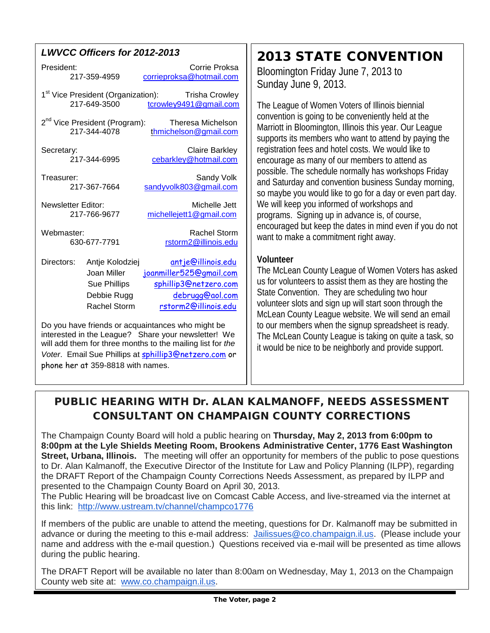### *LWVCC Officers for 2012-2013*

| President:                                                                                               |                                                                                      | Corrie Proksa                                                                                                            |  |
|----------------------------------------------------------------------------------------------------------|--------------------------------------------------------------------------------------|--------------------------------------------------------------------------------------------------------------------------|--|
| 217-359-4959                                                                                             |                                                                                      | corrieproksa@hotmail.com                                                                                                 |  |
| 1 <sup>st</sup> Vice President (Organization):                                                           |                                                                                      | <b>Trisha Crowley</b>                                                                                                    |  |
| 217-649-3500                                                                                             |                                                                                      | tcrowley9491@gmail.com                                                                                                   |  |
| 2 <sup>nd</sup> Vice President (Program):                                                                |                                                                                      | Theresa Michelson                                                                                                        |  |
| 217-344-4078                                                                                             |                                                                                      | thmichelson@gmail.com                                                                                                    |  |
| Secretary:                                                                                               |                                                                                      | <b>Claire Barkley</b>                                                                                                    |  |
| 217-344-6995                                                                                             |                                                                                      | cebarkley@hotmail.com                                                                                                    |  |
| Treasurer:                                                                                               |                                                                                      | Sandy Volk                                                                                                               |  |
| 217-367-7664                                                                                             |                                                                                      | sandyvolk803@gmail.com                                                                                                   |  |
| Newsletter Editor:                                                                                       |                                                                                      | Michelle Jett                                                                                                            |  |
| 217-766-9677                                                                                             |                                                                                      | michellejett1@gmail.com                                                                                                  |  |
| Webmaster:                                                                                               |                                                                                      | Rachel Storm                                                                                                             |  |
| 630-677-7791                                                                                             |                                                                                      | rstorm2@illinois.edu                                                                                                     |  |
| Directors:                                                                                               | Antje Kolodziej<br>Joan Miller<br><b>Sue Phillips</b><br>Debbie Rugg<br>Rachel Storm | <u>antje@illinois.edu</u><br>joanmiller525@gmail.com<br>sphillip3@netzero.com<br>debrugg@aol.com<br>rstorm2@illinois.edu |  |
| Do you have friends or acquaintances who might be<br>interested in the League? Share your newsletter! We |                                                                                      |                                                                                                                          |  |

will add them for three months to the mailing list for *the Voter*. Email Sue Phillips at [sphillip3@netzero.com](mailto:sphillip3@netzero.com) or phone her at 359-8818 with names.

## 2013 STATE CONVENTION

Bloomington Friday June 7, 2013 to Sunday June 9, 2013.

The League of Women Voters of Illinois biennial convention is going to be conveniently held at the Marriott in Bloomington, Illinois this year. Our League supports its members who want to attend by paying the registration fees and hotel costs. We would like to encourage as many of our members to attend as possible. The schedule normally has workshops Friday and Saturday and convention business Sunday morning, so maybe you would like to go for a day or even part day. We will keep you informed of workshops and programs. Signing up in advance is, of course, encouraged but keep the dates in mind even if you do not want to make a commitment right away.

### **Volunteer**

The McLean County League of Women Voters has asked us for volunteers to assist them as they are hosting the State Convention. They are scheduling two hour volunteer slots and sign up will start soon through the McLean County League website. We will send an email to our members when the signup spreadsheet is ready. The McLean County League is taking on quite a task, so it would be nice to be neighborly and provide support.

### PUBLIC HEARING WITH Dr. ALAN KALMANOFF, NEEDS ASSESSMENT CONSULTANT ON CHAMPAIGN COUNTY CORRECTIONS

The Champaign County Board will hold a public hearing on **Thursday, May 2, 2013 from 6:00pm to 8:00pm at the Lyle Shields Meeting Room, Brookens Administrative Center, 1776 East Washington Street, Urbana, Illinois.** The meeting will offer an opportunity for members of the public to pose questions to Dr. Alan Kalmanoff, the Executive Director of the Institute for Law and Policy Planning (ILPP), regarding the DRAFT Report of the Champaign County Corrections Needs Assessment, as prepared by ILPP and presented to the Champaign County Board on April 30, 2013.

The Public Hearing will be broadcast live on Comcast Cable Access, and live-streamed via the internet at this link: <http://www.ustream.tv/channel/champco1776>

If members of the public are unable to attend the meeting, questions for Dr. Kalmanoff may be submitted in advance or during the meeting to this e-mail address: [Jailissues@co.champaign.il.us.](mailto:Jailissues@co.champaign.il.us) (Please include your name and address with the e-mail question.) Questions received via e-mail will be presented as time allows during the public hearing.

The DRAFT Report will be available no later than 8:00am on Wednesday, May 1, 2013 on the Champaign County web site at: [www.co.champaign.il.us.](http://www.co.champaign.il.us/)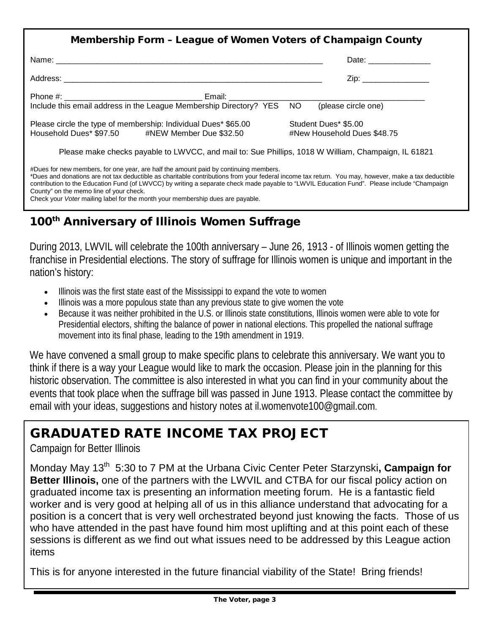| Membership Form - League of Women Voters of Champaign County                                                                                                                                                                                                                                                                                                                               |                                                     |  |  |
|--------------------------------------------------------------------------------------------------------------------------------------------------------------------------------------------------------------------------------------------------------------------------------------------------------------------------------------------------------------------------------------------|-----------------------------------------------------|--|--|
|                                                                                                                                                                                                                                                                                                                                                                                            | Date: __________________                            |  |  |
|                                                                                                                                                                                                                                                                                                                                                                                            | Zip: __________________                             |  |  |
| Include this email address in the League Membership Directory? YES NO (please circle one)                                                                                                                                                                                                                                                                                                  |                                                     |  |  |
| Please circle the type of membership: Individual Dues* \$65.00<br>Household Dues* \$97.50 #NEW Member Due \$32.50                                                                                                                                                                                                                                                                          | Student Dues* \$5.00<br>#New Household Dues \$48.75 |  |  |
| Please make checks payable to LWVCC, and mail to: Sue Phillips, 1018 W William, Champaign, IL 61821                                                                                                                                                                                                                                                                                        |                                                     |  |  |
| #Dues for new members, for one year, are half the amount paid by continuing members.<br>*Dues and donations are not tax deductible as charitable contributions from your federal income tax return. You may, however, make a tax deductible<br>contribution to the Education Fund (of LWVCC) by writing a separate check made payable to "LWVIL Education Fund". Please include "Champaign |                                                     |  |  |

### 100<sup>th</sup> Anniversary of Illinois Women Suffrage

Check your *Voter* mailing label for the month your membership dues are payable.

During 2013, LWVIL will celebrate the 100th anniversary – June 26, 1913 - of Illinois women getting the franchise in Presidential elections. The story of suffrage for Illinois women is unique and important in the nation's history:

- Illinois was the first state east of the Mississippi to expand the vote to women
- Illinois was a more populous state than any previous state to give women the vote
- Because it was neither prohibited in the U.S. or Illinois state constitutions, Illinois women were able to vote for Presidential electors, shifting the balance of power in national elections. This propelled the national suffrage movement into its final phase, leading to the 19th amendment in 1919.

We have convened a small group to make specific plans to celebrate this anniversary. We want you to think if there is a way your League would like to mark the occasion. Please join in the planning for this historic observation. The committee is also interested in what you can find in your community about the events that took place when the suffrage bill was passed in June 1913. Please contact the committee by email with your ideas, suggestions and history notes at [il.womenvote100@gmail.com.](mailto:il.womenvote100@gmail.com)

## GRADUATED RATE INCOME TAX PROJECT

Campaign for Better Illinois

ī

County" on the memo line of your check.

Monday May 13<sup>th</sup> 5:30 to 7 PM at the Urbana Civic Center Peter Starzynski, **Campaign for Better Illinois,** one of the partners with the LWVIL and CTBA for our fiscal policy action on graduated income tax is presenting an information meeting forum. He is a fantastic field worker and is very good at helping all of us in this alliance understand that advocating for a position is a concert that is very well orchestrated beyond just knowing the facts. Those of us who have attended in the past have found him most uplifting and at this point each of these sessions is different as we find out what issues need to be addressed by this League action items

This is for anyone interested in the future financial viability of the State! Bring friends!